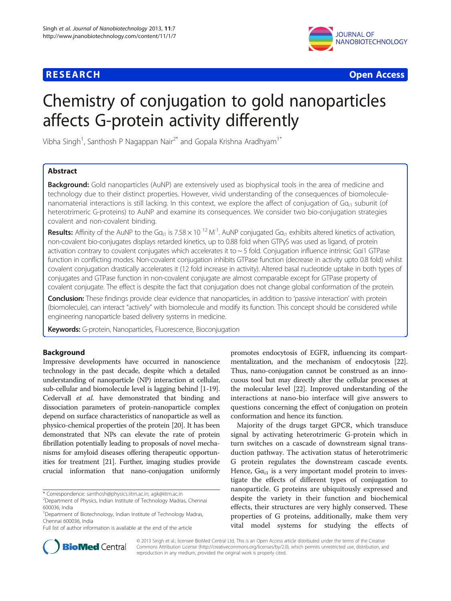



# Chemistry of conjugation to gold nanoparticles affects G-protein activity differently

Vibha Singh<sup>1</sup>, Santhosh P Nagappan Nair<sup>2\*</sup> and Gopala Krishna Aradhyam<sup>1\*</sup>

## Abstract

**Background:** Gold nanoparticles (AuNP) are extensively used as biophysical tools in the area of medicine and technology due to their distinct properties. However, vivid understanding of the consequences of biomoleculenanomaterial interactions is still lacking. In this context, we explore the affect of conjugation of  $Ga_{i1}$  subunit (of heterotrimeric G-proteins) to AuNP and examine its consequences. We consider two bio-conjugation strategies covalent and non-covalent binding.

**Results:** Affinity of the AuNP to the Ga<sub>i1</sub> is 7.58 × 10<sup>-12</sup> M<sup>-1</sup>. AuNP conjugated Ga<sub>i1</sub> exhibits altered kinetics of activation, non-covalent bio-conjugates displays retarded kinetics, up to 0.88 fold when GTPγS was used as ligand, of protein activation contrary to covalent conjugates which accelerates it to  $\sim$  5 fold. Conjugation influence intrinsic Gai1 GTPase function in conflicting modes. Non-covalent conjugation inhibits GTPase function (decrease in activity upto 0.8 fold) whilst covalent conjugation drastically accelerates it (12 fold increase in activity). Altered basal nucleotide uptake in both types of conjugates and GTPase function in non-covalent conjugate are almost comparable except for GTPase property of covalent conjugate. The effect is despite the fact that conjugation does not change global conformation of the protein.

Conclusion: These findings provide clear evidence that nanoparticles, in addition to 'passive interaction' with protein (biomolecule), can interact "actively" with biomolecule and modify its function. This concept should be considered while engineering nanoparticle based delivery systems in medicine.

Keywords: G-protein, Nanoparticles, Fluorescence, Bioconjugation

#### Background

Impressive developments have occurred in nanoscience technology in the past decade, despite which a detailed understanding of nanoparticle (NP) interaction at cellular, sub-cellular and biomolecule level is lagging behind [[1](#page-7-0)[-19](#page-8-0)]. Cedervall et al. have demonstrated that binding and dissociation parameters of protein-nanoparticle complex depend on surface characteristics of nanoparticle as well as physico-chemical properties of the protein [[20](#page-8-0)]. It has been demonstrated that NPs can elevate the rate of protein fibrillation potentially leading to proposals of novel mechanisms for amyloid diseases offering therapeutic opportunities for treatment [[21](#page-8-0)]. Further, imaging studies provide crucial information that nano-conjugation uniformly

\* Correspondence: [santhosh@physics.iitm.ac.in](mailto:santhosh@physics.iitm.ac.in); [agk@iitm.ac.in](mailto:agk@iitm.ac.in) <sup>2</sup>

promotes endocytosis of EGFR, influencing its compartmentalization, and the mechanism of endocytosis [\[22](#page-8-0)]. Thus, nano-conjugation cannot be construed as an innocuous tool but may directly alter the cellular processes at the molecular level [[22](#page-8-0)]. Improved understanding of the interactions at nano-bio interface will give answers to questions concerning the effect of conjugation on protein conformation and hence its function.

Majority of the drugs target GPCR, which transduce signal by activating heterotrimeric G-protein which in turn switches on a cascade of downstream signal transduction pathway. The activation status of heterotrimeric G protein regulates the downstream cascade events. Hence,  $G\alpha_{i1}$  is a very important model protein to investigate the effects of different types of conjugation to nanoparticle. G proteins are ubiquitously expressed and despite the variety in their function and biochemical effects, their structures are very highly conserved. These properties of G proteins, additionally, make them very vital model systems for studying the effects of



© 2013 Singh et al.; licensee BioMed Central Ltd. This is an Open Access article distributed under the terms of the Creative Commons Attribution License [\(http://creativecommons.org/licenses/by/2.0\)](http://creativecommons.org/licenses/by/2.0), which permits unrestricted use, distribution, and reproduction in any medium, provided the original work is properly cited.

<sup>&</sup>lt;sup>2</sup>Department of Physics, Indian Institute of Technology Madras, Chennai 600036, India

<sup>&</sup>lt;sup>1</sup>Department of Biotechnology, Indian Institute of Technology Madras, Chennai 600036, India

Full list of author information is available at the end of the article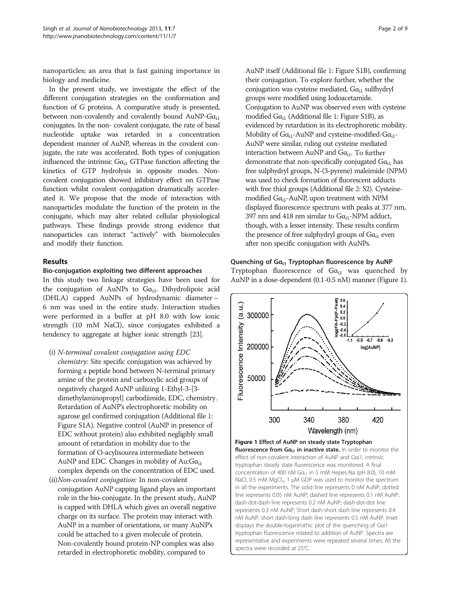nanoparticles; an area that is fast gaining importance in biology and medicine.

In the present study, we investigate the effect of the different conjugation strategies on the conformation and function of G proteins. A comparative study is presented, between non-covalently and covalently bound  $AuNP-Ga_{i1}$ conjugates. In the non- covalent conjugate, the rate of basal nucleotide uptake was retarded in a concentration dependent manner of AuNP, whereas in the covalent conjugate, the rate was accelerated. Both types of conjugation influenced the intrinsic  $G\alpha_{i1}$  GTPase function affecting the kinetics of GTP hydrolysis in opposite modes. Noncovalent conjugation showed inhibitory effect on GTPase function whilst covalent conjugation dramatically accelerated it. We propose that the mode of interaction with nanoparticles modulate the function of the protein in the conjugate, which may alter related cellular physiological pathways. These findings provide strong evidence that nanoparticles can interact "actively" with biomolecules and modify their function.

#### Results

#### Bio-conjugation exploiting two different approaches

In this study two linkage strategies have been used for the conjugation of AuNPs to  $Ga_{i1}$ . Dihydrolipoic acid (DHLA) capped AuNPs of hydrodynamic diameter  $\sim$ 6 nm was used in the entire study. Interaction studies were performed in a buffer at pH 8.0 with low ionic strength (10 mM NaCl), since conjugates exhibited a tendency to aggregate at higher ionic strength [\[23\]](#page-8-0).

- (i) N-terminal covalent conjugation using EDC chemistry: Site specific conjugation was achieved by forming a peptide bond between N-terminal primary amine of the protein and carboxylic acid groups of negatively charged AuNP utilizing 1-Ethyl-3-[3 dimethylaminopropyl] carbodiimide, EDC, chemistry. Retardation of AuNP's electrophoretic mobility on agarose gel confirmed conjugation (Additional file [1](#page-7-0): Figure S1A). Negative control (AuNP in presence of EDC without protein) also exhibited negligibly small amount of retardation in mobility due to the formation of O-acylisourea intermediate between AuNP and EDC. Changes in mobility of Au: $Ga_{i1}$ complex depends on the concentration of EDC used.
- (ii)Non-covalent conjugation: In non-covalent conjugation AuNP capping ligand plays an important role in the bio-conjugate. In the present study, AuNP is capped with DHLA which gives an overall negative charge on its surface. The protein may interact with AuNP in a number of orientations, or many AuNP's could be attached to a given molecule of protein. Non-covalently bound protein-NP complex was also retarded in electrophoretic mobility, compared to

AuNP itself (Additional file [1](#page-7-0): Figure S1B), confirming their conjugation. To explore further, whether the conjugation was cysteine mediated,  $G\alpha_{i1}$  sulfhydryl groups were modified using Iodoacetamide. Conjugation to AuNP was observed even with cysteine modified  $G\alpha_{i1}$  $G\alpha_{i1}$  $G\alpha_{i1}$  (Additional file 1: Figure S1B), as evidenced by retardation in its electrophoretic mobility. Mobility of  $Ga_{i1}$ -AuNP and cysteine-modified- $Ga_{i1}$ -AuNP were similar, ruling out cysteine mediated interaction between AuNP and  $Ga_{i1}$ . To further demonstrate that non-specifically conjugated  $Ga_{i1}$  has free sulphydryl groups, N-(3-pyrene) maleimide (NPM) was used to check formation of fluorescent adducts with free thiol groups (Additional file [2](#page-7-0): S2). Cysteinemodified  $Ga_{i1}$ -AuNP, upon treatment with NPM displayed fluorescence spectrum with peaks at 377 nm, 397 nm and 418 nm similar to  $Ga_{i1}$ -NPM adduct, though, with a lesser intensity. These results confirm the presence of free sulphydryl groups of  $Ga_{i1}$  even after non specific conjugation with AuNPs.

#### Quenching of Ga<sub>i1</sub> Tryptophan fluorescence by AuNP

Tryptophan fluorescence of  $Ga_{i1}$  was quenched by AuNP in a dose-dependent (0.1-0.5 nM) manner (Figure 1).



Figure 1 Effect of AuNP on steady state Tryptophan fluorescence from  $Ga_{i1}$  in inactive state. In order to monitor the effect of non-covalent interaction of AuNP and Gαi1, intrinsic tryptophan steady state fluorescence was monitored. A final concentration of 400 nM Ga<sub>i1</sub> in 5 mM Hepes-Na (pH 8.0), 10 mM NaCl, 0.5 mM MgCl<sub>2</sub>, 1  $\mu$ M GDP was used to monitor the spectrum in all the experiments. The solid line represents 0 nM AuNP; dotted line represents 0.05 nM AuNP; dashed line represents 0.1 nM AuNP; dash-dot-dash line represents 0.2 nM AuNP; dash-dot-dot line represents 0.3 nM AuNP; Short dash-short dash line represents 0.4 nM AuNP; short dash-long dash line represents 0.5 nM AuNP. Inset displays the double-logarimithic plot of the quenching of Gαi1 tryptophan fluorescence related to addition of AuNP. Spectra are representative and experiments were repeated several times. All the spectra were recorded at 25°C.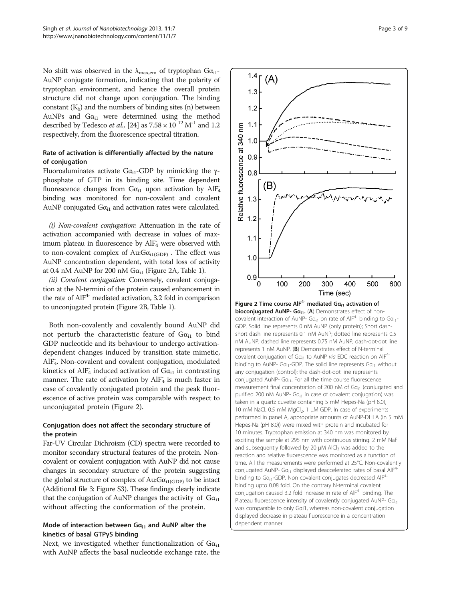No shift was observed in the  $\lambda_{\text{max,em}}$  of tryptophan G $\alpha_{i1}$ -AuNP conjugate formation, indicating that the polarity of tryptophan environment, and hence the overall protein structure did not change upon conjugation. The binding constant  $(K_b)$  and the numbers of binding sites (n) between AuNPs and  $Ga_{i1}$  were determined using the method described by Tedesco et al., [\[24\]](#page-8-0) as  $7.58 \times 10^{-12}$  M<sup>-1</sup> and 1.2 respectively, from the fluorescence spectral titration.

#### Rate of activation is differentially affected by the nature of conjugation

Fluoroaluminates activate  $Ga_{i1}$ -GDP by mimicking the γphosphate of GTP in its binding site. Time dependent fluorescence changes from  $Ga_{i1}$  upon activation by  $AlF_4$ binding was monitored for non-covalent and covalent AuNP conjugated  $Ga_{i1}$  and activation rates were calculated.

(i) Non-covalent conjugation: Attenuation in the rate of activation accompanied with decrease in values of maximum plateau in fluorescence by  $\mathbf{AIF}_{4}$  were observed with to non-covalent complex of Au: $Ga_{i1(GDP)}$ . The effect was AuNP concentration dependent, with total loss of activity at 0.4 nM AuNP for 200 nM  $Ga_{i1}$  (Figure 2A, Table [1\)](#page-3-0).

(ii) Covalent conjugation: Conversely, covalent conjugation at the N-termini of the protein caused enhancement in the rate of  $AIF<sup>4-</sup>$  mediated activation, 3.2 fold in comparison to unconjugated protein (Figure 2B, Table [1](#page-3-0)).

Both non-covalently and covalently bound AuNP did not perturb the characteristic feature of  $Ga_{i1}$  to bind GDP nucleotide and its behaviour to undergo activationdependent changes induced by transition state mimetic, AlF<sub>4</sub>. Non-covalent and covalent conjugation, modulated kinetics of  $\text{AIF}_{4}$  induced activation of  $\text{G}\alpha_{i1}$  in contrasting manner. The rate of activation by AlF<sub>4</sub> is much faster in case of covalently conjugated protein and the peak fluorescence of active protein was comparable with respect to unconjugated protein (Figure 2).

### Conjugation does not affect the secondary structure of the protein

Far-UV Circular Dichroism (CD) spectra were recorded to monitor secondary structural features of the protein. Noncovalent or covalent conjugation with AuNP did not cause changes in secondary structure of the protein suggesting the global structure of complex of Au: $Ga_{i1(GDP)}$  to be intact (Additional file [3:](#page-7-0) Figure S3). These findings clearly indicate that the conjugation of AuNP changes the activity of  $Ga_{i1}$ without affecting the conformation of the protein.

#### Mode of interaction between  $Ga_{i1}$  and AuNP alter the kinetics of basal GTPγS binding

Next, we investigated whether functionalization of  $Ga_{i1}$ with AuNP affects the basal nucleotide exchange rate, the

 $\Omega$ 100 200 300 400 500 600 Time (sec) Figure 2 Time course  $AlF^{4-}$  mediated G $a_{i1}$  activation of bioconjugated AuNP- Ga<sub>i1</sub>. (A) Demonstrates effect of noncovalent interaction of AuNP-  $Ga_{i1}$  on rate of AlF<sup>4-</sup> binding to  $Ga_{i1}$ -GDP. Solid line represents 0 nM AuNP (only protein); Short dashshort dash line represents 0.1 nM AuNP; dotted line represents 0.5 nM AuNP; dashed line represents 0.75 nM AuNP; dash-dot-dot line represents 1 nM AuNP. (B) Demonstrates effect of N-terminal covalent conjugation of Gα<sub>i1</sub> to AuNP via EDC reaction on AlF<sup>4-</sup> binding to AuNP- Ga<sub>i1</sub>-GDP. The solid line represents Ga<sub>i1</sub> without any conjugation (control); the dash-dot-dot line represents conjugated AuNP- Ga<sub>i1</sub>. For all the time course fluorescence measurement final concentration of 200 nM of Ga<sub>i1</sub> (conjugated and purified 200 nM AuNP-  $Ga_{i1}$  in case of covalent conjugation) was taken in a quartz cuvette containing 5 mM Hepes-Na (pH 8.0), 10 mM NaCl, 0.5 mM MgCl<sub>2</sub>, 1 μM GDP. In case of experiments performed in panel A, appropriate amounts of AuNP-DHLA (in 5 mM Hepes-Na (pH 8.0)) were mixed with protein and incubated for 10 minutes. Tryptophan emission at 340 nm was monitored by exciting the sample at 295 nm with continuous stirring. 2 mM NaF and subsequently followed by 20 μM AlCl<sub>3</sub> was added to the reaction and relative fluorescence was monitored as a function of time. All the measurements were performed at 25°C. Non-covalently conjugated AuNP- G $a_{i1}$  displayed deaccelerated rates of basal AlF<sup>4</sup> binding to  $Ga_{i1}$ -GDP. Non covalent conjugates decreased AlF<sup>4-</sup> binding upto 0.08 fold. On the contrary N-terminal covalent conjugation caused 3.2 fold increase in rate of  $AIF<sup>4</sup>$  binding. The Plateau fluorescence intensity of covalently conjugated AuNP- Ga<sub>i1</sub> was comparable to only Gαi1, whereas non-covalent conjugation displayed decrease in plateau fluorescence in a concentration dependent manner.

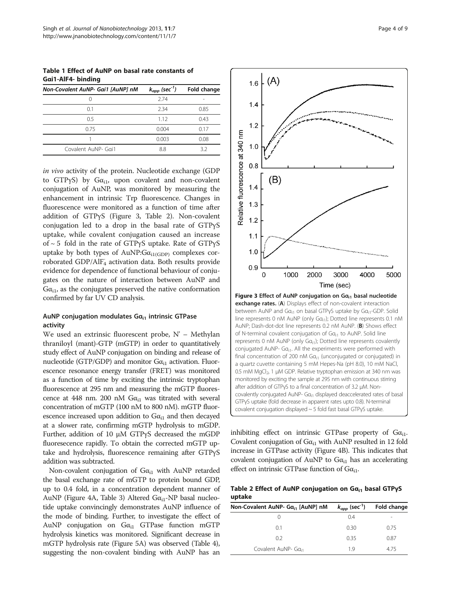<span id="page-3-0"></span>Table 1 Effect of AuNP on basal rate constants of Gαi1-AlF4- binding

| $k_{app}$ (sec <sup>-1</sup> ) | Fold change |
|--------------------------------|-------------|
| 274                            | -           |
| 2.34                           | 0.85        |
| 1.12                           | 0.43        |
| 0.004                          | 0.17        |
| 0.003                          | 0.08        |
| 8.8                            | 32          |
|                                |             |

in vivo activity of the protein. Nucleotide exchange (GDP to GTP $yS$ ) by G $\alpha_{i1}$ , upon covalent and non-covalent conjugation of AuNP, was monitored by measuring the enhancement in intrinsic Trp fluorescence. Changes in fluorescence were monitored as a function of time after addition of GTPγS (Figure 3, Table 2). Non-covalent conjugation led to a drop in the basal rate of GTPγS uptake, while covalent conjugation caused an increase of ~ 5 fold in the rate of GTPγS uptake. Rate of GTPγS uptake by both types of AuNP: $Ga_{i1(GDP)}$  complexes corroborated GDP/AlF<sub>4</sub> activation data. Both results provide evidence for dependence of functional behaviour of conjugates on the nature of interaction between AuNP and  $G\alpha_{i1}$ , as the conjugates preserved the native conformation confirmed by far UV CD analysis.

#### AuNP conjugation modulates  $Ga_{i1}$  intrinsic GTPase activity

We used an extrinsic fluorescent probe, N' – Methylan thraniloyl (mant)-GTP (mGTP) in order to quantitatively study effect of AuNP conjugation on binding and release of nucleotide (GTP/GDP) and monitor  $G\alpha_{i1}$  activation. Fluorescence resonance energy transfer (FRET) was monitored as a function of time by exciting the intrinsic tryptophan fluorescence at 295 nm and measuring the mGTP fluorescence at 448 nm. 200 nM  $Ga_{i1}$  was titrated with several concentration of mGTP (100 nM to 800 nM). mGTP fluorescence increased upon addition to  $Ga_{i1}$  and then decayed at a slower rate, confirming mGTP hydrolysis to mGDP. Further, addition of 10 μM GTPγS decreased the mGDP fluoresecence rapidly. To obtain the corrected mGTP uptake and hydrolysis, fluorescence remaining after GTPγS addition was subtracted.

Non-covalent conjugation of  $Ga_{i1}$  with AuNP retarded the basal exchange rate of mGTP to protein bound GDP, up to 0.4 fold, in a concentration dependent manner of AuNP (Figure [4A](#page-4-0), Table [3\)](#page-4-0) Altered  $G\alpha_{i1}$ -NP basal nucleotide uptake convincingly demonstrates AuNP influence of the mode of binding. Further, to investigate the effect of AuNP conjugation on  $Ga_{i1}$  GTPase function mGTP hydrolysis kinetics was monitored. Significant decrease in mGTP hydrolysis rate (Figure [5](#page-5-0)A) was observed (Table [4](#page-5-0)), suggesting the non-covalent binding with AuNP has an



inhibiting effect on intrinsic GTPase property of  $Ga_{i1}$ . Covalent conjugation of  $G\alpha_{i1}$  with AuNP resulted in 12 fold increase in GTPase activity (Figure [4](#page-4-0)B). This indicates that covalent conjugation of AuNP to  $Ga_{i1}$  has an accelerating effect on intrinsic GTPase function of  $G\alpha_{i1}$ .

GTPγS uptake (fold decrease in apparent rates upto 0.8). N-terminal covalent conjugation displayed ~ 5 fold fast basal GTPγS uptake.

Table 2 Effect of AuNP conjugation on Gα<sub>i1</sub> basal GTPγS uptake

| $-1$                                          |                                |             |  |
|-----------------------------------------------|--------------------------------|-------------|--|
| Non-Covalent AuNP- Ga <sub>i1</sub> [AuNP] nM | $k_{app}$ (sec <sup>-1</sup> ) | Fold change |  |
|                                               | 04                             |             |  |
| 0.1                                           | 0.30                           | 0.75        |  |
| 02                                            | 0.35                           | 0.87        |  |
| Covalent AuNP- Ga <sub>i1</sub>               | 1 Q                            | 475         |  |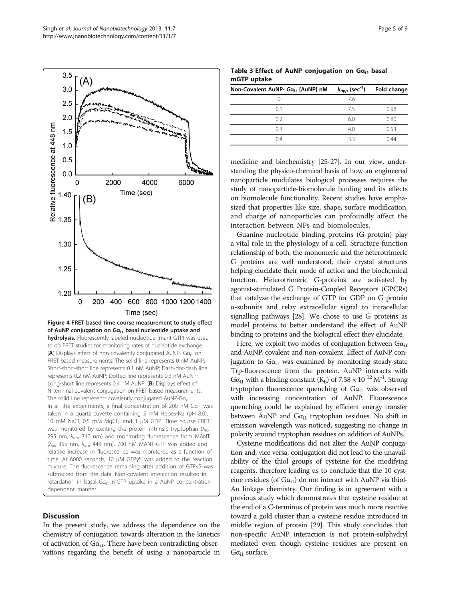<span id="page-4-0"></span>

#### **Discussion**

In the present study, we address the dependence on the chemistry of conjugation towards alteration in the kinetics of activation of  $Ga_{i1}$ . There have been contradicting observations regarding the benefit of using a nanoparticle in

Table 3 Effect of AuNP conjugation on  $Ga_{i1}$  basal mGTP uptake

| Non-Covalent AuNP- Ga <sub>i1</sub> [AuNP] nM | $k_{app}$ (sec <sup>-1</sup> ) | Fold change |
|-----------------------------------------------|--------------------------------|-------------|
| $\left( \right)$                              | 76                             |             |
| 0.1                                           | 75                             | 0.98        |
| 0.2                                           | 6.0                            | 0.80        |
| 03                                            | 4.0                            | 0.53        |
| 0.4                                           | 33                             | N 44        |
|                                               |                                |             |

medicine and biochemistry [\[25-27\]](#page-8-0). In our view, understanding the physico-chemical basis of how an engineered nanoparticle modulates biological processes requires the study of nanoparticle-biomolecule binding and its effects on biomolecule functionality. Recent studies have emphasized that properties like size, shape, surface modification, and charge of nanoparticles can profoundly affect the interaction between NPs and biomolecules.

Guanine nucleotide binding proteins (G-protein) play a vital role in the physiology of a cell. Structure-function relationship of both, the monomeric and the heterotrimeric G proteins are well understood, their crystal structures helping elucidate their mode of action and the biochemical function. Heterotrimeric G-proteins are activated by agonist-stimulated G Protein-Coupled Receptors (GPCRs) that catalyze the exchange of GTP for GDP on G protein α-subunits and relay extracellular signal to intracellular signalling pathways [\[28\]](#page-8-0). We chose to use G proteins as model proteins to better understand the effect of AuNP binding to proteins and the biological effect they elucidate.

Here, we exploit two modes of conjugation between  $Ga_{i1}$ and AuNP, covalent and non-covalent. Effect of AuNP conjugation to  $Ga_{i1}$  was examined by monitoring steady-state Trp-fluorescence from the protein. AuNP interacts with  $G\alpha_{i1}$  with a binding constant (K<sub>b</sub>) of 7.58 × 10<sup>-12</sup> M<sup>-1</sup>. Strong tryptophan fluorescence quenching of  $Ga_{i1}$  was observed with increasing concentration of AuNP. Fluorescence quenching could be explained by efficient energy transfer between AuNP and  $Ga_{i1}$  tryptophan residues. No shift in emission wavelength was noticed, suggesting no change in polarity around tryptophan residues on addition of AuNPs.

Cysteine modifications did not alter the AuNP conjugation and, vice versa, conjugation did not lead to the unavailability of the thiol groups of cysteine for the modifying reagents, therefore leading us to conclude that the 10 cysteine residues (of  $Ga_{i1}$ ) do not interact with AuNP via thiol-Au linkage chemistry. Our finding is in agreement with a previous study which demonstrates that cysteine residue at the end of a C-terminus of protein was much more reactive toward a gold cluster than a cysteine residue introduced in middle region of protein [\[29\]](#page-8-0). This study concludes that non-specific AuNP interaction is not protein-sulphydryl mediated even though cysteine residues are present on  $G\alpha_{i1}$  surface.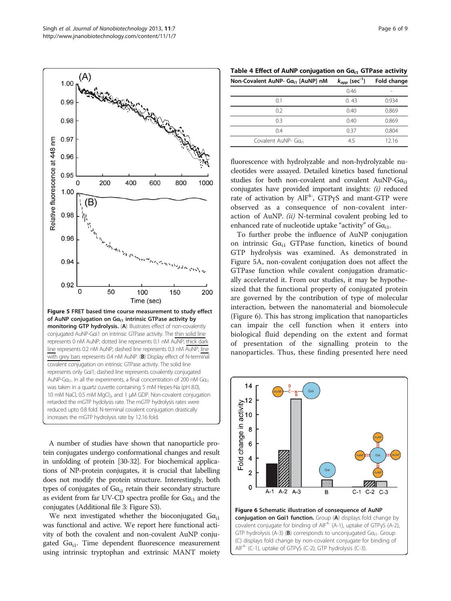$(A)$ 

1.00

<span id="page-5-0"></span>

A number of studies have shown that nanoparticle protein conjugates undergo conformational changes and result in unfolding of protein [[30-32\]](#page-8-0). For biochemical applications of NP-protein conjugates, it is crucial that labelling does not modify the protein structure. Interestingly, both types of conjugates of  $Ga_{i1}$  retain their secondary structure as evident from far UV-CD spectra profile for  $Ga_{i1}$  and the conjugates (Additional file [3](#page-7-0): Figure S3).

We next investigated whether the bioconjugated  $Ga_{i1}$ was functional and active. We report here functional activity of both the covalent and non-covalent AuNP conjugated  $Ga_{i1}$ . Time dependent fluorescence measurement using intrinsic tryptophan and extrinsic MANT moiety

| Table 4 Effect of AuNP conjugation on $Ga_{i1}$ GTPase activity |
|-----------------------------------------------------------------|
|                                                                 |

| Non-Covalent AuNP- Ga <sub>i1</sub> [AuNP] nM | $k_{app}$ (sec <sup>-1</sup> ) | Fold change |
|-----------------------------------------------|--------------------------------|-------------|
|                                               | 0.46                           |             |
| 0.1                                           | 0.43                           | 0.934       |
| 0.2                                           | 0.40                           | 0.869       |
| 0.3                                           | 0.40                           | 0.869       |
| 0.4                                           | 0.37                           | 0.804       |
| Covalent AuNP- Ga <sub>i1</sub>               | 4.5                            | 12.16       |

fluorescence with hydrolyzable and non-hydrolyzable nucleotides were assayed. Detailed kinetics based functional studies for both non-covalent and covalent AuNP- $Ga_{i1}$ conjugates have provided important insights: (i) reduced rate of activation by  $AIF^{4-}$ ,  $GTP\gamma S$  and mant-GTP were observed as a consequence of non-covalent interaction of AuNP. (ii) N-terminal covalent probing led to enhanced rate of nucleotide uptake "activity" of  $Ga_{i1}$ .

To further probe the influence of AuNP conjugation on intrinsic  $G\alpha_{i1}$  GTPase function, kinetics of bound GTP hydrolysis was examined. As demonstrated in Figure 5A, non-covalent conjugation does not affect the GTPase function while covalent conjugation dramatically accelerated it. From our studies, it may be hypothesized that the functional property of conjugated protein are governed by the contribution of type of molecular interaction, between the nanomaterial and biomolecule (Figure 6). This has strong implication that nanoparticles can impair the cell function when it enters into biological fluid depending on the extent and format of presentation of the signalling protein to the nanoparticles. Thus, these finding presented here need



conjugation on Gai1 function. Group (A) displays fold change by covalent conjugate for binding of  $AIF^{4-}$  (A-1), uptake of GTPyS (A-2), GTP hydrolysis (A-3) (B) corresponds to unconjugated G $a_{i1}$ . Group (C) displays fold change by non-covalent conjugate for binding of AlF4- (C-1), uptake of GTPγS (C-2), GTP hydrolysis (C-3).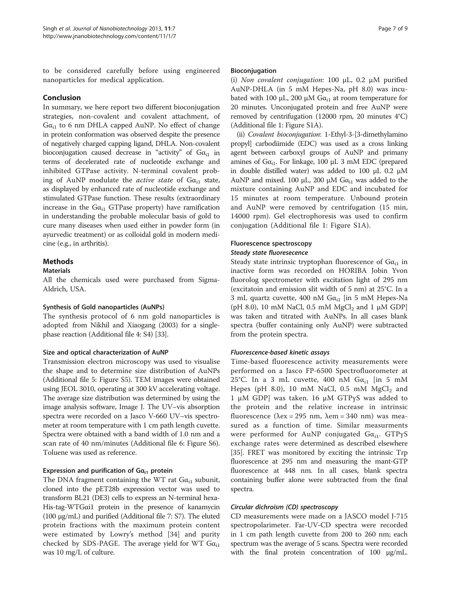to be considered carefully before using engineered nanoparticles for medical application.

#### Conclusion

In summary, we here report two different bioconjugation strategies, non-covalent and covalent attachment, of  $Ga_{i1}$  to 6 nm DHLA capped AuNP. No effect of change in protein conformation was observed despite the presence of negatively charged capping ligand, DHLA. Non-covalent bioconjugation caused decrease in "activity" of  $Ga_{i1}$  in terms of decelerated rate of nucleotide exchange and inhibited GTPase activity. N-terminal covalent probing of AuNP modulate the *active state* of  $G\alpha_{i1}$  state, as displayed by enhanced rate of nucleotide exchange and stimulated GTPase function. These results (extraordinary increase in the  $G\alpha_{i1}$  GTPase property) have ramification in understanding the probable molecular basis of gold to cure many diseases when used either in powder form (in ayurvedic treatment) or as colloidal gold in modern medicine (e.g., in arthritis).

### Methods

#### **Materials**

All the chemicals used were purchased from Sigma-Aldrich, USA.

#### Synthesis of Gold nanoparticles (AuNPs)

The synthesis protocol of 6 nm gold nanoparticles is adopted from Nikhil and Xiaogang (2003) for a singlephase reaction (Additional file [4:](#page-7-0) S4) [[33](#page-8-0)].

#### Size and optical characterization of AuNP

Transmission electron microscopy was used to visualise the shape and to determine size distribution of AuNPs (Additional file [5:](#page-7-0) Figure S5). TEM images were obtained using JEOL 3010, operating at 300 kV accelerating voltage. The average size distribution was determined by using the image analysis software, Image J. The UV–vis absorption spectra were recorded on a Jasco V-660 UV–vis spectrometer at room temperature with 1 cm path length cuvette. Spectra were obtained with a band width of 1.0 nm and a scan rate of 40 nm/minutes (Additional file [6:](#page-7-0) Figure S6). Toluene was used as reference.

#### Expression and purification of  $Ga_{i1}$  protein

The DNA fragment containing the WT rat  $Ga_{i1}$  subunit, cloned into the pET28b expression vector was used to transform BL21 (DE3) cells to express an N-terminal hexa-His-tag-WTGαi1 protein in the presence of kanamycin (100 μg/mL) and purified (Additional file [7:](#page-7-0) S7). The eluted protein fractions with the maximum protein content were estimated by Lowry's method [\[34](#page-8-0)] and purity checked by SDS-PAGE. The average yield for WT  $Ga_{i1}$ was 10 mg/L of culture.

# Bioconjugation

(i) Non covalent conjugation: 100 <sup>μ</sup>L, 0.2 <sup>μ</sup>M purified AuNP-DHLA (in 5 mM Hepes-Na, pH 8.0) was incubated with 100 μL, 200 μM  $Gα<sub>i1</sub>$  at room temperature for 20 minutes. Unconjugated protein and free AuNP were removed by centrifugation (12000 rpm, 20 minutes 4°C) (Additional file [1](#page-7-0): Figure S1A).

(ii) Covalent bioconjugation: 1-Ethyl-3-[3-dimethylamino propyl] carbodiimide (EDC) was used as a cross linking agent between carboxyl groups of AuNP and primany amines of  $Ga_{i1}$ . For linkage, 100 μL 3 mM EDC (prepared in double distilled water) was added to 100 μL 0.2 μM AuNP and mixed. 100  $\mu$ L, 200  $\mu$ M G $\alpha_{i1}$  was added to the mixture containing AuNP and EDC and incubated for 15 minutes at room temperature. Unbound protein and AuNP were removed by centrifugation (15 min, 14000 rpm). Gel electrophoresis was used to confirm conjugation (Additional file [1:](#page-7-0) Figure S1A).

#### Fluorescence spectroscopy

#### Steady state fluoresecence

Steady state intrinsic tryptophan fluorescence of  $Ga_{i1}$  in inactive form was recorded on HORIBA Jobin Yvon fluorolog spectrometer with excitation light of 295 nm (excitatoin and emission slit width of 5 nm) at 25°C. In a 3 mL quartz cuvette, 400 nM  $Ga_{i1}$  [in 5 mM Hepes-Na (pH 8.0), 10 mM NaCl, 0.5 mM  $MgCl<sub>2</sub>$  and 1 µM GDP] was taken and titrated with AuNPs. In all cases blank spectra (buffer containing only AuNP) were subtracted from the protein spectra.

#### Fluorescence-based kinetic assays

Time-based fluorescence activity measurements were performed on a Jasco FP-6500 Spectrofluorometer at 25°C. In a 3 mL cuvette, 400 nM  $Ga_{i1}$  [in 5 mM Hepes (pH 8.0), 10 mM NaCl, 0.5 mM  $MgCl<sub>2</sub>$  and 1 μM GDP] was taken. 16 μM GTPγS was added to the protein and the relative increase in intrinsic fluorescence ( $\lambda$ ex = 295 nm,  $\lambda$ em = 340 nm) was measured as a function of time. Similar measurments were performed for AuNP conjugated  $Ga_{i1}$ . GTP $\gamma S$ exchange rates were determined as described elsewhere [[35](#page-8-0)]. FRET was monitored by exciting the intrinsic Trp fluorescence at 295 nm and measuring the mant-GTP fluorescence at 448 nm. In all cases, blank spectra containing buffer alone were subtracted from the final spectra.

#### Circular dichroism (CD) spectroscopy

CD measurements were made on a JASCO model J-715 spectropolarimeter. Far-UV-CD spectra were recorded in 1 cm path length cuvette from 200 to 260 nm; each spectrum was the average of 5 scans. Spectra were recorded with the final protein concentration of 100 μg/mL.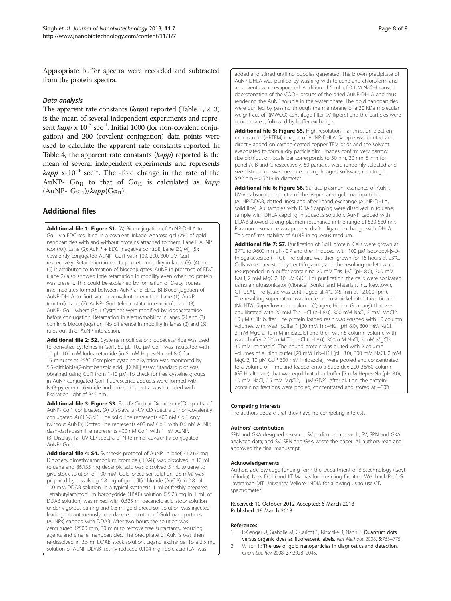<span id="page-7-0"></span>Appropriate buffer spectra were recorded and subtracted from the protein spectra.

#### Data analysis

The apparent rate constants (kapp) reported (Table [1, 2,](#page-3-0) [3](#page-4-0)) is the mean of several independent experiments and represent  $kapp \times 10^{-3}$  sec<sup>-1</sup>. Initial 1000 (for non-covalent conjugation) and 200 (covalent conjugation) data points were used to calculate the apparent rate constants reported. In Table [4,](#page-5-0) the apparent rate constants (kapp) reported is the mean of several independent experiments and represents  $\kappa$ app x-10<sup>-4</sup> sec<sup>-1</sup>. The -fold change in the rate of the AuNP-  $G\alpha_{i1}$  to that of  $G\alpha_{i1}$  is calculated as *kapp* (AuNP-  $G\alpha_{i1}$ )/kapp( $G\alpha_{i1}$ ).

# Additional files

[Additional file 1: Figure S1.](http://www.biomedcentral.com/content/supplementary/1477-3155-11-7-S1.doc) (A) Bioconjugation of AuNP-DHLA to Gαi1 via EDC resulting in a covalent linkage. Agarose gel (2%) of gold nanoparticles with and without proteins attached to them. Lane1: AuNP (control), Lane (2):  $AuNP + EDC$  (negative control), Lane (3), (4), (5): covalently conjugated AuNP- Gαi1 with 100, 200, 300 μM Gαi1 respectively. Retardation in electrophoretic mobility in lanes (3), (4) and (5) is attributed to formation of bioconjugates. AuNP in presence of EDC (Lane 2) also showed little retardation in mobility even when no protein was present. This could be explained by formation of O-acylisourea intermediates formed between AuNP and EDC. (B) Bioconjugation of AuNP-DHLA to Gαi1 via non-covalent interaction. Lane (1): AuNP (control), Lane (2): AuNP- Gαi1 (electrostatic interaction), Lane (3): AuNP- Gαi1 where Gαi1 Cysteines were modified by Iodoacetamide before conjugation. Retardation in electromobility in lanes (2) and (3) confirms bioconjugation. No difference in mobility in lanes (2) and (3) rules out thiol-AuNP interaction.

[Additional file 2: S2.](http://www.biomedcentral.com/content/supplementary/1477-3155-11-7-S2.doc) Cysteine modification: lodoacetamide was used to derivatize cysteines in Gαi1. 50 μL, 100 μM Gαi1 was incubated with 10 μL, 100 mM Iodoacetamide (in 5 mM Hepes-Na, pH 8.0) for 15 minutes at 25°C. Complete cysteine alkylation was monitored by 5,5'-dithiobis-(2-nitrobenzoic acid) [DTNB] assay. Standard plot was obtained using Gαi1 from 1-10 μM. To check for free cysteine groups in AuNP conjugated Gαi1 fluorescence adducts were formed with N-(3-pyrene) maleimide and emission spectra was recorded with Excitation light of 345 nm.

[Additional file 3: Figure S3.](http://www.biomedcentral.com/content/supplementary/1477-3155-11-7-S3.doc) Far UV Circular Dichroism (CD) spectra of AuNP- Gαi1 conjugates. (A) Displays far-UV CD spectra of non-covalently conjugated AuNP-Gαi1. The solid line represents 400 nM Gαi1 only (without AuNP); Dotted line represents 400 nM Gαi1 with 0.6 nM AuNP; dash-dash-dash line represents 400 nM Gαi1 with 1 nM AuNP. (B) Displays far-UV CD spectra of N-terminal covalently conjugated AuNP- Gαi1.

[Additional file 4: S4.](http://www.biomedcentral.com/content/supplementary/1477-3155-11-7-S4.doc) Synthesis protocol of AuNP. In brief, 462.62 mg Didodecyldimethylammonium bromide (DDAB) was dissolved in 10 mL toluene and 86.135 mg decanoic acid was dissolved 5 mL toluene to give stock solution of 100 mM. Gold precursor solution (25 mM) was prepared by dissolving 6.8 mg of gold (III) chloride (AuCl3) in 0.8 mL 100 mM DDAB solution. In a typical synthesis, 1 ml of freshly prepared Tetrabutylammonium borohydride (TBAB) solution (25.73 mg in 1 mL of DDAB solution) was mixed with 0.625 ml decanoic acid stock solution under vigorous stirring and 0.8 ml gold precursor solution was injected leading instantaneously to a dark-red solution of Gold nanoparticles (AuNPs) capped with DDAB. After two hours the solution was centrifuged (2500 rpm, 30 min) to remove free surfactants, reducing agents and smaller nanoparticles. The precipitate of AuNPs was then re-dissolved in 2.5 ml DDAB stock solution. Ligand exchange: To a 2.5 mL solution of AuNP-DDAB freshly reduced 0.104 mg lipoic acid (LA) was

added and stirred until no bubbles generated. The brown precipitate of AuNP-DHLA was purified by washing with toluene and chloroform and all solvents were evaporated. Addition of 5 mL of 0.1 M NaOH caused deprotonation of the COOH groups of the dried AuNP-DHLA and thus rendering the AuNP soluble in the water phase. The gold nanoparticles were purified by passing through the membrane of a 30 KDa molecular weight cut-off (MWCO) centrifuge filter (Millipore) and the particles were concentrated, followed by buffer exchange.

[Additional file 5: Figure S5.](http://www.biomedcentral.com/content/supplementary/1477-3155-11-7-S5.doc) High resolution Transmission electron microscopic (HRTEM) images of AuNP-DHLA. Sample was diluted and directly added on carbon-coated copper TEM grids and the solvent evaporated to form a dry particle film. Images confirm very narrow size distribution. Scale bar corresponds to 50 nm, 20 nm, 5 nm for panel A, B and C respectively. 50 particles were randomly selected and size distribution was measured using Image-J software, resulting in 5.92 nm ± 0.5219 in diameter.

[Additional file 6: Figure S6.](http://www.biomedcentral.com/content/supplementary/1477-3155-11-7-S6.doc) Surface plasmon resonance of AuNP. UV-vis absorption spectra of the as-prepared gold nanoparticles (AuNP-DDAB, dotted lines) and after ligand exchange (AuNP-DHLA, solid line). Au samples with DDAB capping were dissolved in toluene, sample with DHLA capping in aqueous solution. AuNP capped with DDAB showed strong plasmon resonance in the range of 520-530 nm. Plasmon resonance was preserved after ligand exchange with DHLA. This confirms stability of AuNP in aqueous medium.

[Additional file 7: S7.](http://www.biomedcentral.com/content/supplementary/1477-3155-11-7-S7.doc) Purification of Gai1 protein. Cells were grown at 37°C to A600 nm of ~ 0.7 and then induced with 100 μM isopropyl-β-Dthiogalactoside (IPTG). The culture was then grown for 16 hours at 23°C. Cells were harvested by centrifugation, and the resulting pellets were resuspended in a buffer containing 20 mM Tris–HCl (pH 8.0), 300 mM NaCl, 2 mM MgCl2, 10 μM GDP. For purification, the cells were sonicated using an ultrasonicator (Vibracell Sonics and Materials, Inc. Newtown, CT, USA). The lysate was centrifuged at 4°C (45 min at 12,000 rpm). The resulting supernatant was loaded onto a nickel nitrilotriacetic acid (Ni–NTA) Superflow resin column (Qiagen, Hilden, Germany) that was equilibrated with 20 mM Tris–HCl (pH 8.0), 300 mM NaCl, 2 mM MgCl2, 10 μM GDP buffer. The protein loaded resin was washed with 10 column volumes with wash buffer 1 [20 mM Tris–HCl (pH 8.0), 300 mM NaCl, 2 mM MgCl2, 10 mM imidazole] and then with 5 column volume with wash buffer 2 [20 mM Tris–HCl (pH 8.0), 300 mM NaCl, 2 mM MgCl2, 30 mM imidazole]. The bound protein was eluted with 2 column volumes of elution buffer [20 mM Tris–HCl (pH 8.0), 300 mM NaCl, 2 mM MgCl2, 10 μM GDP 300 mM imidazole]., were pooled and concentrated to a volume of 1 mL and loaded onto a Superdex 200 26/60 column (GE Healthcare) that was equilibrated in buffer [5 mM Hepes-Na (pH 8.0), 10 mM NaCl, 0.5 mM MgCl2, 1 μM GDP]. After elution, the proteincontaining fractions were pooled, concentrated and stored at −80°C.

#### Competing interests

The authors declare that they have no competing interests.

#### Authors' contribution

SPN and GKA designed research; SV performed research; SV, SPN and GKA analyzed data; and SV, SPN and GKA wrote the paper. All authors read and approved the final manuscript.

#### Acknowledgements

Authors acknowledge funding form the Department of Biotechnology (Govt. of India), New Delhi and IIT Madras for providing facilities. We thank Prof. G. Jayaraman, VIT Univeristy, Vellore, INDIA for allowing us to use CD spectrometer.

#### Received: 10 October 2012 Accepted: 6 March 2013 Published: 19 March 2013

#### References

- 1. R-Genger U, Grabolle M, C-Jaricot S, Nitschke R, Nann T: Quantum dots versus organic dyes as fluorescent labels. Nat Methods 2008, 5:763–775.
- 2. Wilson R: The use of gold nanoparticles in diagnostics and detection. Chem Soc Rev 2008, 37:2028–2045.